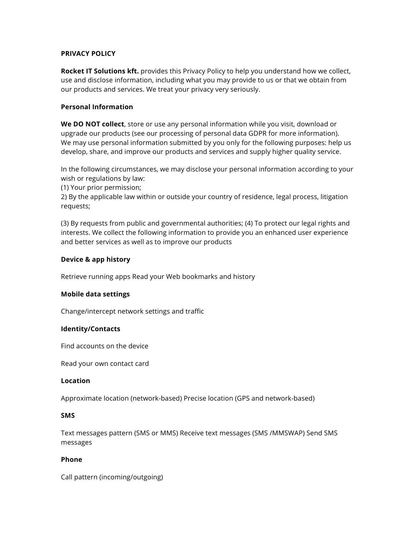## **PRIVACY POLICY**

**Rocket IT Solutions kft.** provides this Privacy Policy to help you understand how we collect, use and disclose information, including what you may provide to us or that we obtain from our products and services. We treat your privacy very seriously.

# **Personal Information**

**We DO NOT collect**, store or use any personal information while you visit, download or upgrade our products (see our processing of personal data GDPR for more information). We may use personal information submitted by you only for the following purposes: help us develop, share, and improve our products and services and supply higher quality service.

In the following circumstances, we may disclose your personal information according to your wish or regulations by law:

(1) Your prior permission;

2) By the applicable law within or outside your country of residence, legal process, litigation requests;

(3) By requests from public and governmental authorities; (4) To protect our legal rights and interests. We collect the following information to provide you an enhanced user experience and better services as well as to improve our products

### **Device & app history**

Retrieve running apps Read your Web bookmarks and history

### **Mobile data settings**

Change/intercept network settings and traffic

#### **Identity/Contacts**

Find accounts on the device

Read your own contact card

### **Location**

Approximate location (network-based) Precise location (GPS and network-based)

### **SMS**

Text messages pattern (SMS or MMS) Receive text messages (SMS /MMSWAP) Send SMS messages

### **Phone**

Call pattern (incoming/outgoing)